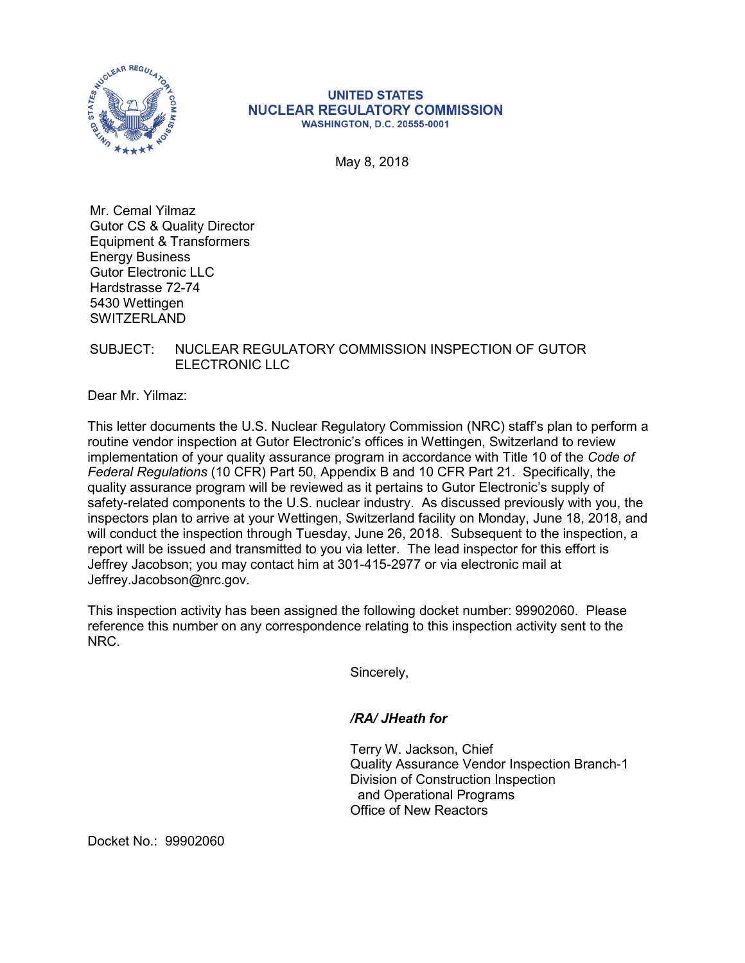

## **UNITED STATES NUCLEAR REGULATORY COMMISSION WASHINGTON, D.C. 20555-0001**

May 8, 2018

Mr. Cemal Yilmaz Gutor CS & Quality Director Equipment & Transformers Energy Business Gutor Electronic LLC Hardstrasse 72-74 5430 Wettingen **SWITZERLAND** 

## SUBJECT: NUCLEAR REGULATORY COMMISSION INSPECTION OF GUTOR ELECTRONIC LLC

Dear Mr. Yilmaz:

This letter documents the U.S. Nuclear Regulatory Commission (NRC) staff's plan to perform a routine vendor inspection at Gutor Electronic's offices in Wettingen, Switzerland to review implementation of your quality assurance program in accordance with Title 10 of the *Code of Federal Regulations* (10 CFR) Part 50, Appendix B and 10 CFR Part 21. Specifically, the quality assurance program will be reviewed as it pertains to Gutor Electronic's supply of safety-related components to the U.S. nuclear industry. As discussed previously with you, the inspectors plan to arrive at your Wettingen, Switzerland facility on Monday, June 18, 2018, and will conduct the inspection through Tuesday, June 26, 2018. Subsequent to the inspection, a report will be issued and transmitted to you via letter. The lead inspector for this effort is Jeffrey Jacobson; you may contact him at 301-415-2977 or via electronic mail at Jeffrey.Jacobson@nrc.gov.

This inspection activity has been assigned the following docket number: 99902060. Please reference this number on any correspondence relating to this inspection activity sent to the NRC.

Sincerely,

## */RA/ JHeath for*

Terry W. Jackson, Chief Quality Assurance Vendor Inspection Branch-1 Division of Construction Inspection and Operational Programs Office of New Reactors

Docket No.: 99902060